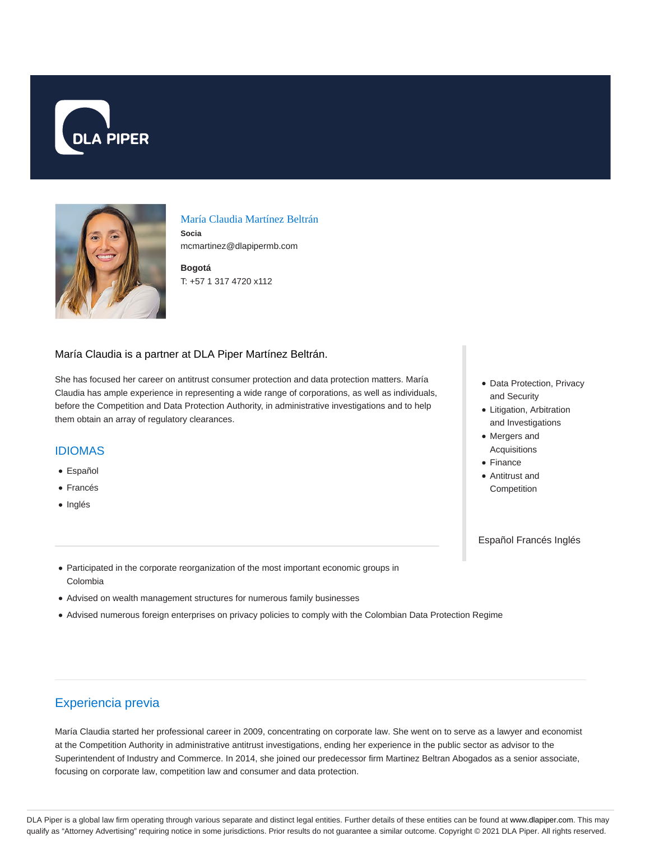



## María Claudia Martínez Beltrán **Socia**

mcmartinez@dlapipermb.com

**Bogotá** T: +57 1 317 4720 x112

#### María Claudia is a partner at DLA Piper Martínez Beltrán.

She has focused her career on antitrust consumer protection and data protection matters. María Claudia has ample experience in representing a wide range of corporations, as well as individuals, before the Competition and Data Protection Authority, in administrative investigations and to help them obtain an array of regulatory clearances.

#### IDIOMAS

- Español
- Francés
- Inglés
- Data Protection, Privacy and Security
- Litigation, Arbitration and Investigations
- Mergers and Acquisitions
- Finance
- Antitrust and **Competition**

Español Francés Inglés

- Participated in the corporate reorganization of the most important economic groups in Colombia
- Advised on wealth management structures for numerous family businesses
- Advised numerous foreign enterprises on privacy policies to comply with the Colombian Data Protection Regime

# Experiencia previa

María Claudia started her professional career in 2009, concentrating on corporate law. She went on to serve as a lawyer and economist at the Competition Authority in administrative antitrust investigations, ending her experience in the public sector as advisor to the Superintendent of Industry and Commerce. In 2014, she joined our predecessor firm Martinez Beltran Abogados as a senior associate, focusing on corporate law, competition law and consumer and data protection.

DLA Piper is a global law firm operating through various separate and distinct legal entities. Further details of these entities can be found at www.dlapiper.com. This may qualify as "Attorney Advertising" requiring notice in some jurisdictions. Prior results do not guarantee a similar outcome. Copyright @ 2021 DLA Piper. All rights reserved.